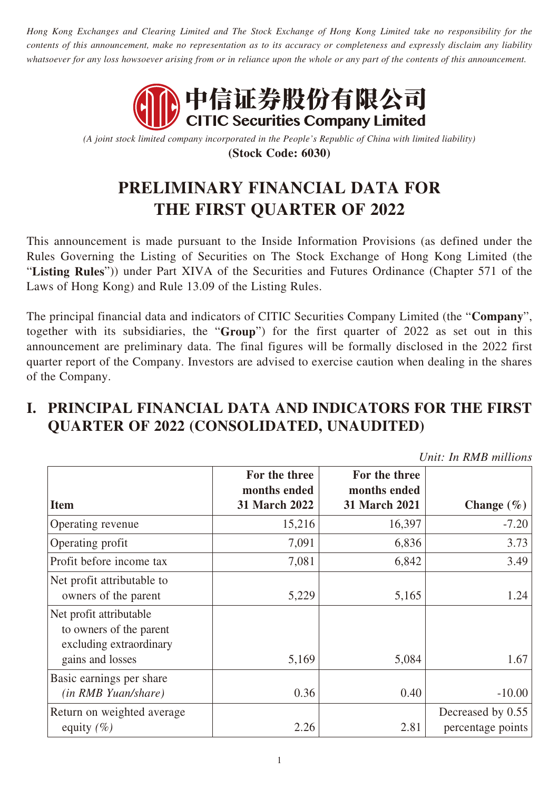*Hong Kong Exchanges and Clearing Limited and The Stock Exchange of Hong Kong Limited take no responsibility for the contents of this announcement, make no representation as to its accuracy or completeness and expressly disclaim any liability whatsoever for any loss howsoever arising from or in reliance upon the whole or any part of the contents of this announcement.*



*(A joint stock limited company incorporated in the People's Republic of China with limited liability)* **(Stock Code: 6030)**

# **PRELIMINARY FINANCIAL DATA FOR THE FIRST QUARTER OF 2022**

This announcement is made pursuant to the Inside Information Provisions (as defined under the Rules Governing the Listing of Securities on The Stock Exchange of Hong Kong Limited (the "**Listing Rules**")) under Part XIVA of the Securities and Futures Ordinance (Chapter 571 of the Laws of Hong Kong) and Rule 13.09 of the Listing Rules.

The principal financial data and indicators of CITIC Securities Company Limited (the "**Company**", together with its subsidiaries, the "**Group**") for the first quarter of 2022 as set out in this announcement are preliminary data. The final figures will be formally disclosed in the 2022 first quarter report of the Company. Investors are advised to exercise caution when dealing in the shares of the Company.

### **I. PRINCIPAL FINANCIAL DATA AND INDICATORS FOR THE FIRST QUARTER OF 2022 (CONSOLIDATED, UNAUDITED)**

*Unit: In RMB millions*

| <b>Item</b>                                                                   | For the three<br>months ended<br>31 March 2022 | For the three<br>months ended<br>31 March 2021 | Change $(\% )$                         |  |
|-------------------------------------------------------------------------------|------------------------------------------------|------------------------------------------------|----------------------------------------|--|
|                                                                               |                                                |                                                |                                        |  |
| Operating revenue                                                             | 15,216                                         | 16,397                                         | $-7.20$                                |  |
| Operating profit                                                              | 7,091                                          | 6,836                                          | 3.73                                   |  |
| Profit before income tax                                                      | 7,081                                          | 6,842                                          | 3.49                                   |  |
| Net profit attributable to<br>owners of the parent                            | 5,229                                          | 5,165                                          | 1.24                                   |  |
| Net profit attributable<br>to owners of the parent<br>excluding extraordinary |                                                |                                                |                                        |  |
| gains and losses                                                              | 5,169                                          | 5,084                                          | 1.67                                   |  |
| Basic earnings per share<br><i>(in RMB Yuan/share)</i>                        | 0.36                                           | 0.40                                           | $-10.00$                               |  |
| Return on weighted average<br>equity $(\% )$                                  | 2.26                                           | 2.81                                           | Decreased by 0.55<br>percentage points |  |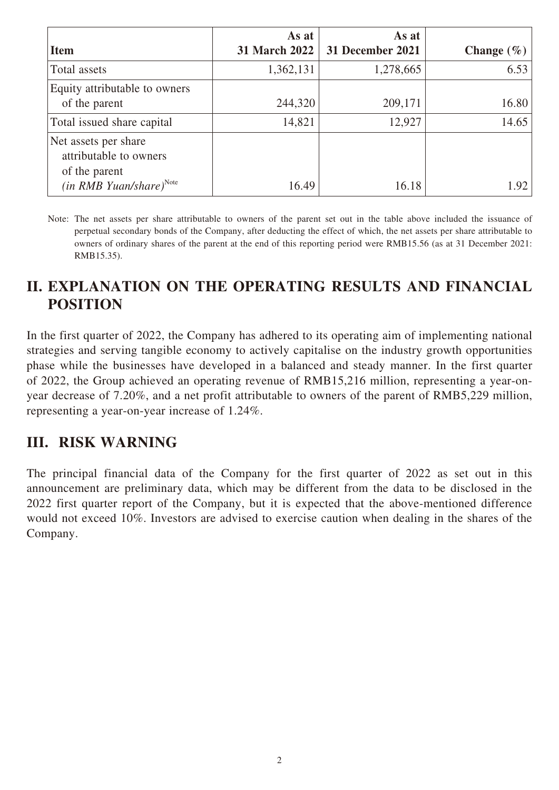|                                                                 | As at         | As at            |                |
|-----------------------------------------------------------------|---------------|------------------|----------------|
| <b>Item</b>                                                     | 31 March 2022 | 31 December 2021 | Change $(\% )$ |
| Total assets                                                    | 1,362,131     | 1,278,665        | 6.53           |
| Equity attributable to owners<br>of the parent                  | 244,320       | 209,171          | 16.80          |
| Total issued share capital                                      | 14,821        | 12,927           | 14.65          |
| Net assets per share<br>attributable to owners<br>of the parent |               |                  |                |
| $(in RMB Yuan/share)^{Note}$                                    | 16.49         | 16.18            | 1.92           |

Note: The net assets per share attributable to owners of the parent set out in the table above included the issuance of perpetual secondary bonds of the Company, after deducting the effect of which, the net assets per share attributable to owners of ordinary shares of the parent at the end of this reporting period were RMB15.56 (as at 31 December 2021: RMB15.35).

## **II. EXPLANATION ON THE OPERATING RESULTS AND FINANCIAL POSITION**

In the first quarter of 2022, the Company has adhered to its operating aim of implementing national strategies and serving tangible economy to actively capitalise on the industry growth opportunities phase while the businesses have developed in a balanced and steady manner. In the first quarter of 2022, the Group achieved an operating revenue of RMB15,216 million, representing a year-onyear decrease of 7.20%, and a net profit attributable to owners of the parent of RMB5,229 million, representing a year-on-year increase of 1.24%.

#### **III. RISK WARNING**

The principal financial data of the Company for the first quarter of 2022 as set out in this announcement are preliminary data, which may be different from the data to be disclosed in the 2022 first quarter report of the Company, but it is expected that the above-mentioned difference would not exceed 10%. Investors are advised to exercise caution when dealing in the shares of the Company.